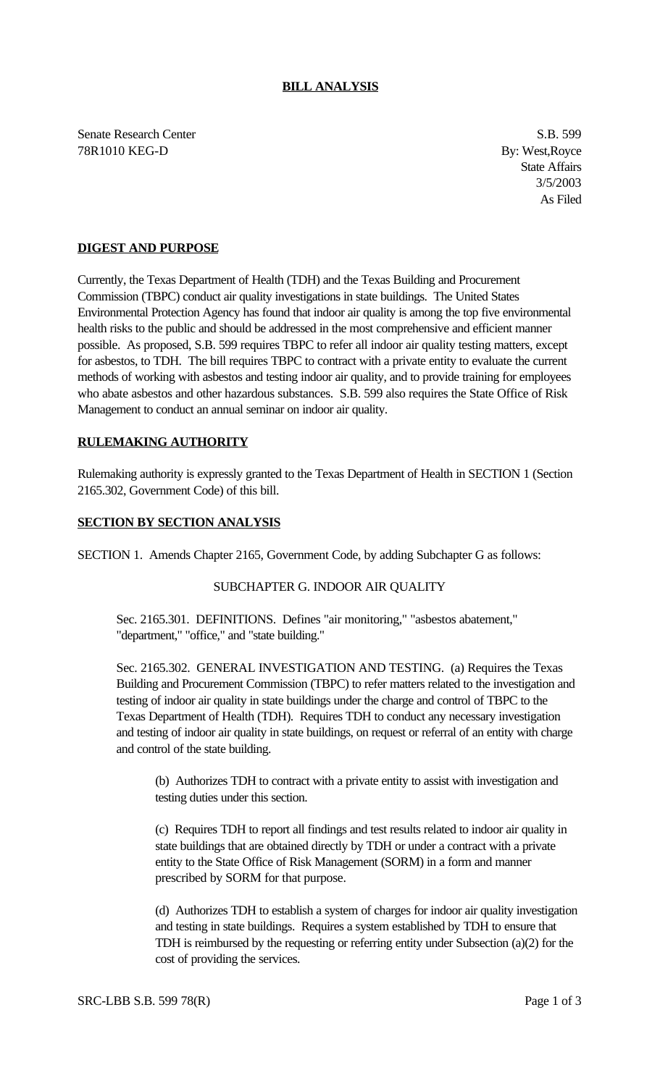# **BILL ANALYSIS**

Senate Research Center S.B. 599 78R1010 KEG-D By: West,Royce

State Affairs 3/5/2003 As Filed

# **DIGEST AND PURPOSE**

Currently, the Texas Department of Health (TDH) and the Texas Building and Procurement Commission (TBPC) conduct air quality investigations in state buildings. The United States Environmental Protection Agency has found that indoor air quality is among the top five environmental health risks to the public and should be addressed in the most comprehensive and efficient manner possible. As proposed, S.B. 599 requires TBPC to refer all indoor air quality testing matters, except for asbestos, to TDH. The bill requires TBPC to contract with a private entity to evaluate the current methods of working with asbestos and testing indoor air quality, and to provide training for employees who abate asbestos and other hazardous substances. S.B. 599 also requires the State Office of Risk Management to conduct an annual seminar on indoor air quality.

## **RULEMAKING AUTHORITY**

Rulemaking authority is expressly granted to the Texas Department of Health in SECTION 1 (Section 2165.302, Government Code) of this bill.

## **SECTION BY SECTION ANALYSIS**

SECTION 1. Amends Chapter 2165, Government Code, by adding Subchapter G as follows:

### SUBCHAPTER G. INDOOR AIR QUALITY

Sec. 2165.301. DEFINITIONS. Defines "air monitoring," "asbestos abatement," "department," "office," and "state building."

Sec. 2165.302. GENERAL INVESTIGATION AND TESTING. (a) Requires the Texas Building and Procurement Commission (TBPC) to refer matters related to the investigation and testing of indoor air quality in state buildings under the charge and control of TBPC to the Texas Department of Health (TDH). Requires TDH to conduct any necessary investigation and testing of indoor air quality in state buildings, on request or referral of an entity with charge and control of the state building.

(b) Authorizes TDH to contract with a private entity to assist with investigation and testing duties under this section.

(c) Requires TDH to report all findings and test results related to indoor air quality in state buildings that are obtained directly by TDH or under a contract with a private entity to the State Office of Risk Management (SORM) in a form and manner prescribed by SORM for that purpose.

(d) Authorizes TDH to establish a system of charges for indoor air quality investigation and testing in state buildings. Requires a system established by TDH to ensure that TDH is reimbursed by the requesting or referring entity under Subsection (a)(2) for the cost of providing the services.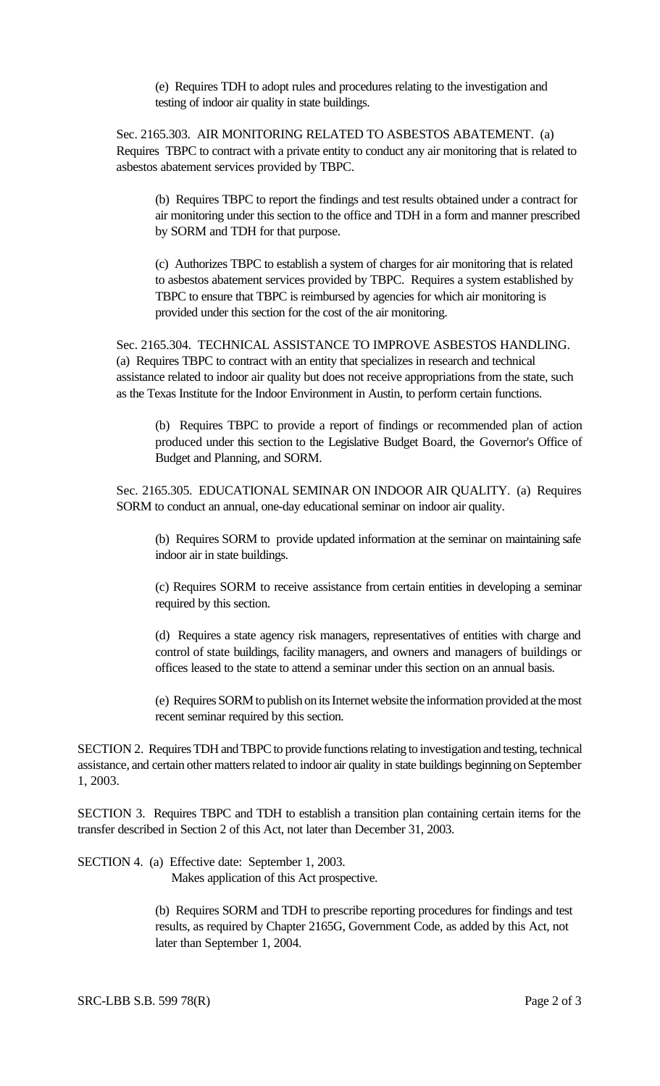(e) Requires TDH to adopt rules and procedures relating to the investigation and testing of indoor air quality in state buildings.

Sec. 2165.303. AIR MONITORING RELATED TO ASBESTOS ABATEMENT. (a) Requires TBPC to contract with a private entity to conduct any air monitoring that is related to asbestos abatement services provided by TBPC.

(b) Requires TBPC to report the findings and test results obtained under a contract for air monitoring under this section to the office and TDH in a form and manner prescribed by SORM and TDH for that purpose.

(c) Authorizes TBPC to establish a system of charges for air monitoring that is related to asbestos abatement services provided by TBPC. Requires a system established by TBPC to ensure that TBPC is reimbursed by agencies for which air monitoring is provided under this section for the cost of the air monitoring.

Sec. 2165.304. TECHNICAL ASSISTANCE TO IMPROVE ASBESTOS HANDLING. (a) Requires TBPC to contract with an entity that specializes in research and technical assistance related to indoor air quality but does not receive appropriations from the state, such as the Texas Institute for the Indoor Environment in Austin, to perform certain functions.

(b) Requires TBPC to provide a report of findings or recommended plan of action produced under this section to the Legislative Budget Board, the Governor's Office of Budget and Planning, and SORM.

Sec. 2165.305. EDUCATIONAL SEMINAR ON INDOOR AIR QUALITY. (a) Requires SORM to conduct an annual, one-day educational seminar on indoor air quality.

(b) Requires SORM to provide updated information at the seminar on maintaining safe indoor air in state buildings.

(c) Requires SORM to receive assistance from certain entities in developing a seminar required by this section.

(d) Requires a state agency risk managers, representatives of entities with charge and control of state buildings, facility managers, and owners and managers of buildings or offices leased to the state to attend a seminar under this section on an annual basis.

(e) Requires SORM to publish on its Internet website the information provided at the most recent seminar required by this section.

SECTION 2. Requires TDH and TBPC to provide functions relating to investigation and testing, technical assistance, and certain other matters related to indoor air quality in state buildings beginning on September 1, 2003.

SECTION 3. Requires TBPC and TDH to establish a transition plan containing certain items for the transfer described in Section 2 of this Act, not later than December 31, 2003.

SECTION 4. (a) Effective date: September 1, 2003.

Makes application of this Act prospective.

 (b) Requires SORM and TDH to prescribe reporting procedures for findings and test results, as required by Chapter 2165G, Government Code, as added by this Act, not later than September 1, 2004.